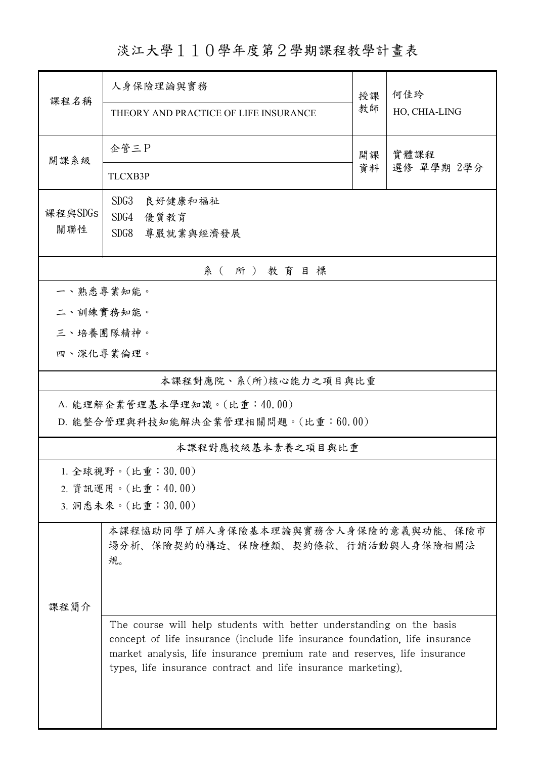淡江大學110學年度第2學期課程教學計畫表

| 課程名稱                               | 人身保險理論與實務                                                                                                                                            |          | 何佳玲                |  |  |  |
|------------------------------------|------------------------------------------------------------------------------------------------------------------------------------------------------|----------|--------------------|--|--|--|
|                                    | THEORY AND PRACTICE OF LIFE INSURANCE                                                                                                                | 教師       | HO, CHIA-LING      |  |  |  |
| 開課系級                               | 企管三P                                                                                                                                                 | 開課<br>資料 | 實體課程<br>選修 單學期 2學分 |  |  |  |
|                                    | <b>TLCXB3P</b>                                                                                                                                       |          |                    |  |  |  |
| 課程與SDGs                            | SDG <sub>3</sub><br>良好健康和福祉                                                                                                                          |          |                    |  |  |  |
| 關聯性                                | SDG4<br>優質教育<br>SDG8<br>尊嚴就業與經濟發展                                                                                                                    |          |                    |  |  |  |
|                                    |                                                                                                                                                      |          |                    |  |  |  |
| 系(所)教育目標                           |                                                                                                                                                      |          |                    |  |  |  |
| 一、熟悉專業知能。                          |                                                                                                                                                      |          |                    |  |  |  |
|                                    | 二、訓練實務知能。                                                                                                                                            |          |                    |  |  |  |
| 三、培養團隊精神。                          |                                                                                                                                                      |          |                    |  |  |  |
|                                    | 四、深化專業倫理。                                                                                                                                            |          |                    |  |  |  |
| 本課程對應院、系(所)核心能力之項目與比重              |                                                                                                                                                      |          |                    |  |  |  |
| A. 能理解企業管理基本學理知識。(比重:40.00)        |                                                                                                                                                      |          |                    |  |  |  |
| D. 能整合管理與科技知能解決企業管理相關問題。(比重:60.00) |                                                                                                                                                      |          |                    |  |  |  |
| 本課程對應校級基本素養之項目與比重                  |                                                                                                                                                      |          |                    |  |  |  |
|                                    | 1. 全球視野。(比重: 30.00)                                                                                                                                  |          |                    |  |  |  |
| 2. 資訊運用。(比重:40.00)                 |                                                                                                                                                      |          |                    |  |  |  |
| 3. 洞悉未來。(比重:30.00)                 |                                                                                                                                                      |          |                    |  |  |  |
|                                    | 本課程協助同學了解人身保險基本理論與實務含人身保險的意義與功能、保險市<br>場分析、保險契約的構造、保險種類、契約條款、行銷活動與人身保險相關法<br>規。                                                                      |          |                    |  |  |  |
|                                    |                                                                                                                                                      |          |                    |  |  |  |
| 课程简介                               |                                                                                                                                                      |          |                    |  |  |  |
|                                    | The course will help students with better understanding on the basis<br>concept of life insurance (include life insurance foundation, life insurance |          |                    |  |  |  |
|                                    | market analysis, life insurance premium rate and reserves, life insurance                                                                            |          |                    |  |  |  |
|                                    | types, life insurance contract and life insurance marketing).                                                                                        |          |                    |  |  |  |
|                                    |                                                                                                                                                      |          |                    |  |  |  |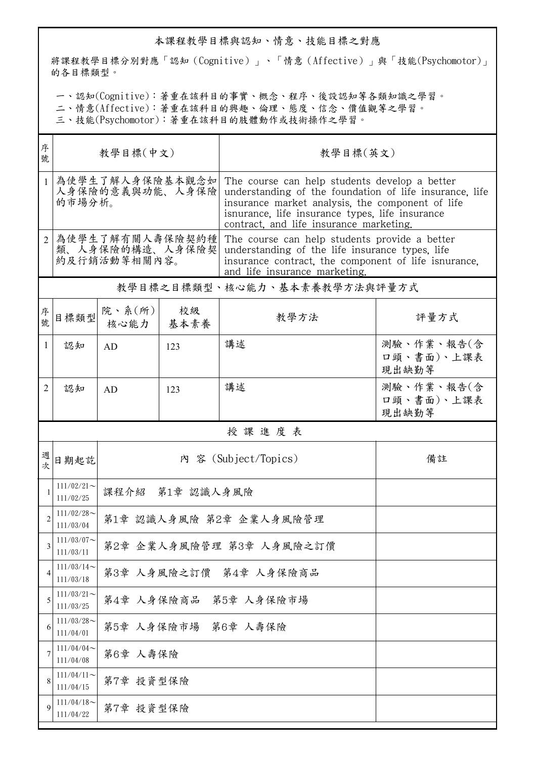## 本課程教學目標與認知、情意、技能目標之對應

將課程教學目標分別對應「認知(Cognitive)」、「情意(Affective)」與「技能(Psychomotor)」 的各目標類型。

一、認知(Cognitive):著重在該科目的事實、概念、程序、後設認知等各類知識之學習。

二、情意(Affective):著重在該科目的興趣、倫理、態度、信念、價值觀等之學習。

三、技能(Psychomotor):著重在該科目的肢體動作或技術操作之學習。

| 序<br>號         | 教學目標(中文)                                            |                          |            | 教學目標(英文)                                                                                                                                                                                                                                                   |                                   |  |  |  |
|----------------|-----------------------------------------------------|--------------------------|------------|------------------------------------------------------------------------------------------------------------------------------------------------------------------------------------------------------------------------------------------------------------|-----------------------------------|--|--|--|
| $\mathbf{1}$   | 為使學生了解人身保險基本觀念如<br>人身保險的意義與功能、人身保險<br>的市場分析。        |                          |            | The course can help students develop a better<br>understanding of the foundation of life insurance, life<br>insurance market analysis, the component of life<br>isnurance, life insurance types, life insurance<br>contract, and life insurance marketing. |                                   |  |  |  |
| $\overline{2}$ | 為使學生了解有關人壽保險契約種<br>類、人身保險的構造、人身保險契 <br>約及行銷活動等相關內容。 |                          |            | The course can help students provide a better<br>understanding of the life insurance types. life<br>insurance contract, the component of life isnurance,<br>and life insurance marketing.                                                                  |                                   |  |  |  |
|                | 教學目標之目標類型、核心能力、基本素養教學方法與評量方式                        |                          |            |                                                                                                                                                                                                                                                            |                                   |  |  |  |
| 序號             | 目標類型                                                | 院、系 $(\kappa)$  <br>核心能力 | 校級<br>基本素養 | 教學方法                                                                                                                                                                                                                                                       | 評量方式                              |  |  |  |
| 1              | 認知                                                  | AD                       | 123        | 講述                                                                                                                                                                                                                                                         | 測驗、作業、報告(含<br>口頭、書面)、上課表<br>現出缺勤等 |  |  |  |
| 2              | 認知                                                  | AD                       | 123        | 講述                                                                                                                                                                                                                                                         | 測驗、作業、報告(含<br>口頭、書面)、上課表<br>現出缺勤等 |  |  |  |
|                | 授課進度表                                               |                          |            |                                                                                                                                                                                                                                                            |                                   |  |  |  |
| 週<br>次         | 內 容 (Subject/Topics)<br>備註<br>日期起訖                  |                          |            |                                                                                                                                                                                                                                                            |                                   |  |  |  |
|                | $111/02/21$ ~<br>111/02/25                          | 課程介紹 第1章 認識人身風險          |            |                                                                                                                                                                                                                                                            |                                   |  |  |  |
| $\overline{2}$ | $111/02/28$ ~<br>111/03/04                          | 第1章 認識人身風險 第2章 企業人身風險管理  |            |                                                                                                                                                                                                                                                            |                                   |  |  |  |
| 3              | $111/03/07$ ~<br>111/03/11                          | 第2章 企業人身風險管理 第3章 人身風險之訂價 |            |                                                                                                                                                                                                                                                            |                                   |  |  |  |
| 4              | $111/03/14$ ~<br>111/03/18                          | 第3章 人身風險之訂價 第4章 人身保險商品   |            |                                                                                                                                                                                                                                                            |                                   |  |  |  |
| 5              | $111/03/21$ ~<br>111/03/25                          | 第4章 人身保險商品<br>第5章 人身保險市場 |            |                                                                                                                                                                                                                                                            |                                   |  |  |  |
| 6              | $111/03/28$ ~<br>111/04/01                          | 第5章 人身保險市場 第6章 人壽保險      |            |                                                                                                                                                                                                                                                            |                                   |  |  |  |
| 7              | $111/04/04$ ~<br>111/04/08                          | 第6章 人壽保險                 |            |                                                                                                                                                                                                                                                            |                                   |  |  |  |
| 8              | $111/04/11$ ~<br>111/04/15                          | 第7章 投資型保險                |            |                                                                                                                                                                                                                                                            |                                   |  |  |  |
| $\mathbf Q$    | $111/04/18$ ~<br>111/04/22                          | 第7章 投資型保險                |            |                                                                                                                                                                                                                                                            |                                   |  |  |  |